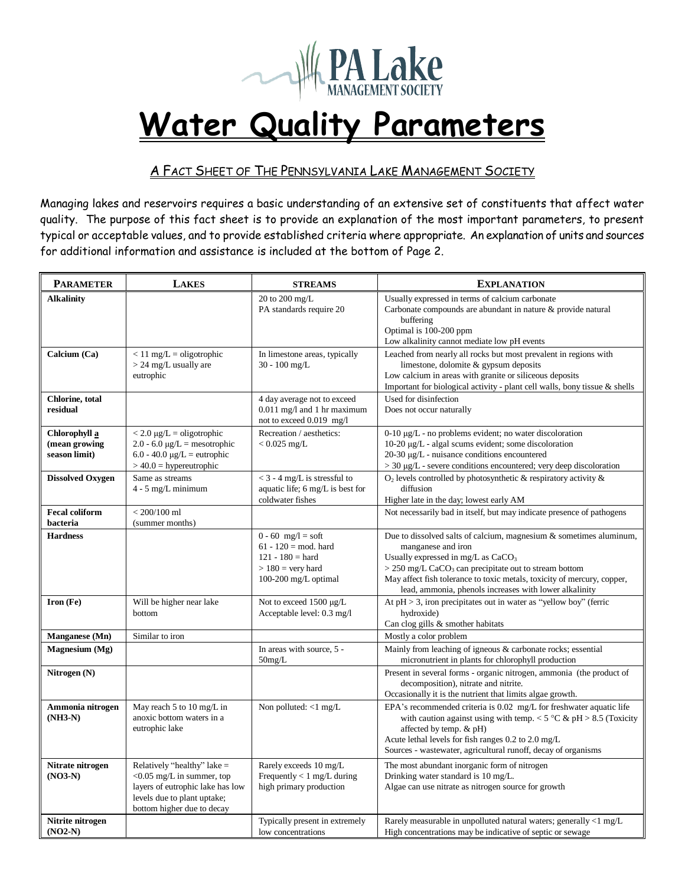

## **Water Quality Parameters**

## A FACT SHEET OF THE PENNSYLVANIA LAKE MANAGEMENT SOCIETY

Managing lakes and reservoirs requires a basic understanding of an extensive set of constituents that affect water quality. The purpose of this fact sheet is to provide an explanation of the most important parameters, to present typical or acceptable values, and to provide established criteria where appropriate. An explanation of units and sources for additional information and assistance is included at the bottom of Page 2.

| <b>PARAMETER</b>                                | <b>LAKES</b>                                                                                                                                                 | <b>STREAMS</b>                                                                                                             | <b>EXPLANATION</b>                                                                                                                                                                                                                                                                                                                                        |
|-------------------------------------------------|--------------------------------------------------------------------------------------------------------------------------------------------------------------|----------------------------------------------------------------------------------------------------------------------------|-----------------------------------------------------------------------------------------------------------------------------------------------------------------------------------------------------------------------------------------------------------------------------------------------------------------------------------------------------------|
| <b>Alkalinity</b>                               |                                                                                                                                                              | 20 to 200 mg/L<br>PA standards require 20                                                                                  | Usually expressed in terms of calcium carbonate<br>Carbonate compounds are abundant in nature $\&$ provide natural<br>buffering<br>Optimal is 100-200 ppm<br>Low alkalinity cannot mediate low pH events                                                                                                                                                  |
| Calcium (Ca)                                    | $< 11$ mg/L = oligotrophic<br>$> 24$ mg/L usually are<br>eutrophic                                                                                           | In limestone areas, typically<br>$30 - 100$ mg/L                                                                           | Leached from nearly all rocks but most prevalent in regions with<br>limestone, dolomite & gypsum deposits<br>Low calcium in areas with granite or siliceous deposits<br>Important for biological activity - plant cell walls, bony tissue & shells                                                                                                        |
| Chlorine, total<br>residual                     |                                                                                                                                                              | 4 day average not to exceed<br>$0.011$ mg/l and 1 hr maximum<br>not to exceed 0.019 mg/l                                   | Used for disinfection<br>Does not occur naturally                                                                                                                                                                                                                                                                                                         |
| Chlorophyll a<br>(mean growing<br>season limit) | $<$ 2.0 $\mu$ g/L = oligotrophic<br>$2.0 - 6.0 \mu g/L =$ mesotrophic<br>$6.0 - 40.0 \mu g/L =$ eutrophic<br>$> 40.0$ = hypereutrophic                       | Recreation / aesthetics:<br>$< 0.025$ mg/L                                                                                 | $0-10 \mu g/L$ - no problems evident; no water discoloration<br>$10-20 \mu g/L$ - algal scums evident; some discoloration<br>$20-30 \mu g/L$ - nuisance conditions encountered<br>$>$ 30 µg/L - severe conditions encountered; very deep discoloration                                                                                                    |
| <b>Dissolved Oxygen</b>                         | Same as streams<br>$4 - 5$ mg/L minimum                                                                                                                      | $<$ 3 - 4 mg/L is stressful to<br>aquatic life; 6 mg/L is best for<br>coldwater fishes                                     | $O_2$ levels controlled by photosynthetic & respiratory activity &<br>diffusion<br>Higher late in the day; lowest early AM                                                                                                                                                                                                                                |
| <b>Fecal coliform</b><br>bacteria               | $< 200/100$ ml<br>(summer months)                                                                                                                            |                                                                                                                            | Not necessarily bad in itself, but may indicate presence of pathogens                                                                                                                                                                                                                                                                                     |
| <b>Hardness</b>                                 |                                                                                                                                                              | $0 - 60$ mg/l = soft<br>$61 - 120 = \text{mod.}$ hard<br>$121 - 180 =$ hard<br>$> 180$ = very hard<br>100-200 mg/L optimal | Due to dissolved salts of calcium, magnesium $\&$ sometimes aluminum,<br>manganese and iron<br>Usually expressed in mg/L as CaCO <sub>3</sub><br>$>$ 250 mg/L CaCO <sub>3</sub> can precipitate out to stream bottom<br>May affect fish tolerance to toxic metals, toxicity of mercury, copper,<br>lead, ammonia, phenols increases with lower alkalinity |
| Iron (Fe)                                       | Will be higher near lake<br>bottom                                                                                                                           | Not to exceed $1500 \mu g/L$<br>Acceptable level: 0.3 mg/l                                                                 | At $pH > 3$ , iron precipitates out in water as "yellow boy" (ferric<br>hydroxide)<br>Can clog gills & smother habitats                                                                                                                                                                                                                                   |
| Manganese (Mn)                                  | Similar to iron                                                                                                                                              |                                                                                                                            | Mostly a color problem                                                                                                                                                                                                                                                                                                                                    |
| Magnesium (Mg)                                  |                                                                                                                                                              | In areas with source, 5 -<br>50mg/L                                                                                        | Mainly from leaching of igneous & carbonate rocks; essential<br>micronutrient in plants for chlorophyll production                                                                                                                                                                                                                                        |
| Nitrogen (N)                                    |                                                                                                                                                              |                                                                                                                            | Present in several forms - organic nitrogen, ammonia (the product of<br>decomposition), nitrate and nitrite.<br>Occasionally it is the nutrient that limits algae growth.                                                                                                                                                                                 |
| Ammonia nitrogen<br>$(NH3-N)$                   | May reach 5 to 10 mg/L in<br>anoxic bottom waters in a<br>eutrophic lake                                                                                     | Non polluted: <1 mg/L                                                                                                      | EPA's recommended criteria is 0.02 mg/L for freshwater aquatic life<br>with caution against using with temp. < $5^{\circ}$ C & pH > 8.5 (Toxicity<br>affected by temp. & pH)<br>Acute lethal levels for fish ranges 0.2 to 2.0 mg/L<br>Sources - wastewater, agricultural runoff, decay of organisms                                                      |
| Nitrate nitrogen<br>$(NO3-N)$                   | Relatively "healthy" lake =<br>$<$ 0.05 mg/L in summer, top<br>layers of eutrophic lake has low<br>levels due to plant uptake;<br>bottom higher due to decay | Rarely exceeds 10 mg/L<br>Frequently $< 1$ mg/L during<br>high primary production                                          | The most abundant inorganic form of nitrogen<br>Drinking water standard is 10 mg/L.<br>Algae can use nitrate as nitrogen source for growth                                                                                                                                                                                                                |
| Nitrite nitrogen<br>$(NO2-N)$                   |                                                                                                                                                              | Typically present in extremely<br>low concentrations                                                                       | Rarely measurable in unpolluted natural waters; generally <1 mg/L<br>High concentrations may be indicative of septic or sewage                                                                                                                                                                                                                            |